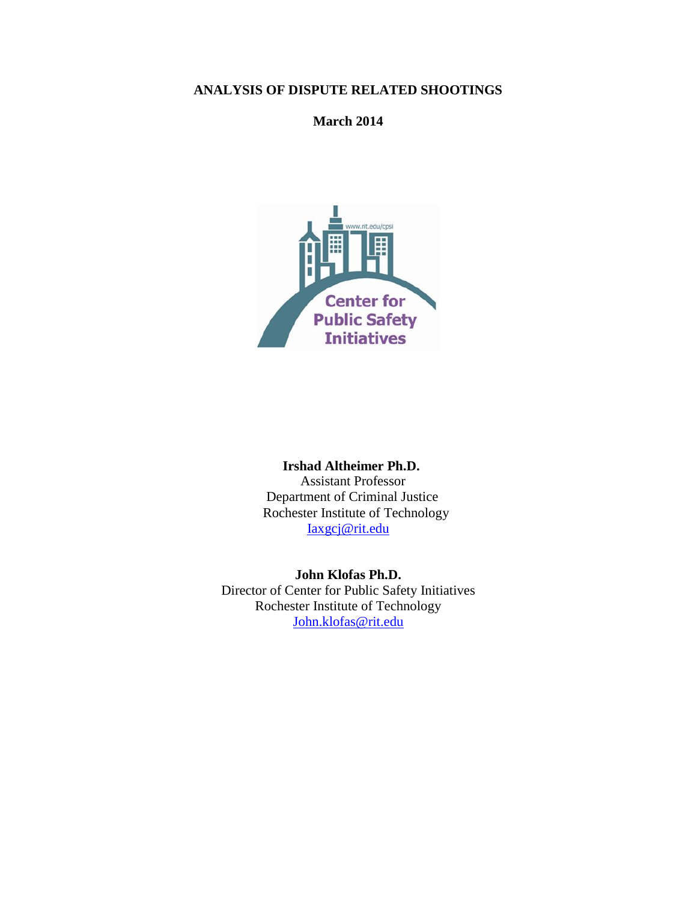## **ANALYSIS OF DISPUTE RELATED SHOOTINGS**

## **March 2014**



 **Irshad Altheimer Ph.D.** Assistant Professor Department of Criminal Justice Rochester Institute of Technology [Iaxgcj@rit.edu](mailto:Iaxgcj@rit.edu)

**John Klofas Ph.D.** Director of Center for Public Safety Initiatives Rochester Institute of Technology [John.klofas@rit.edu](mailto:John.klofas@rit.edu)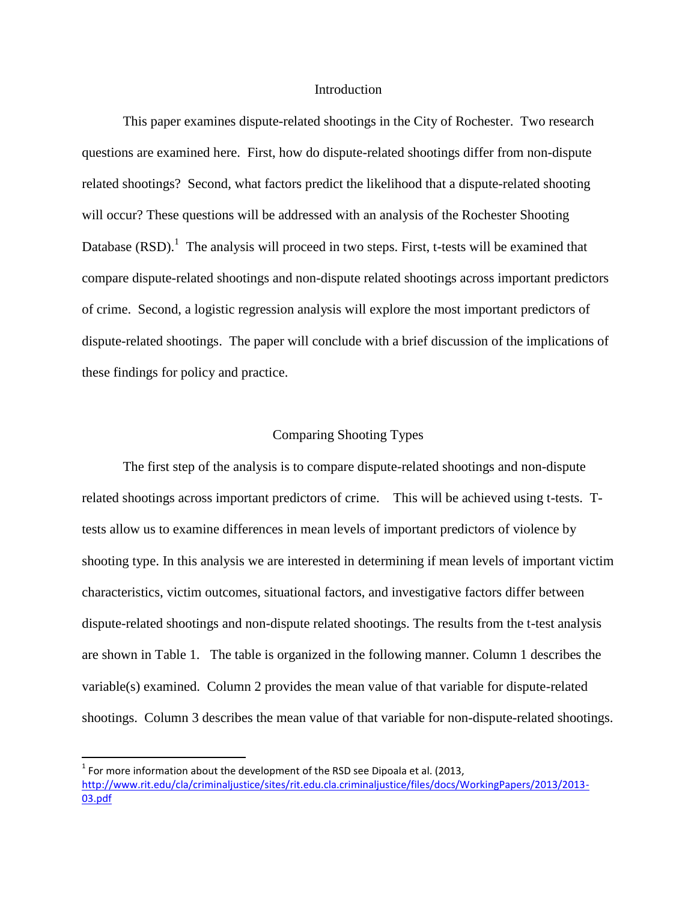#### Introduction

This paper examines dispute-related shootings in the City of Rochester. Two research questions are examined here. First, how do dispute-related shootings differ from non-dispute related shootings? Second, what factors predict the likelihood that a dispute-related shooting will occur? These questions will be addressed with an analysis of the Rochester Shooting Database  $(RSD)$ .<sup>1</sup> The analysis will proceed in two steps. First, t-tests will be examined that compare dispute-related shootings and non-dispute related shootings across important predictors of crime. Second, a logistic regression analysis will explore the most important predictors of dispute-related shootings. The paper will conclude with a brief discussion of the implications of these findings for policy and practice.

### Comparing Shooting Types

The first step of the analysis is to compare dispute-related shootings and non-dispute related shootings across important predictors of crime. This will be achieved using t-tests. Ttests allow us to examine differences in mean levels of important predictors of violence by shooting type. In this analysis we are interested in determining if mean levels of important victim characteristics, victim outcomes, situational factors, and investigative factors differ between dispute-related shootings and non-dispute related shootings. The results from the t-test analysis are shown in Table 1. The table is organized in the following manner. Column 1 describes the variable(s) examined. Column 2 provides the mean value of that variable for dispute-related shootings. Column 3 describes the mean value of that variable for non-dispute-related shootings.

 $\overline{a}$ 

 $^1$  For more information about the development of the RSD see Dipoala et al. (2013, [http://www.rit.edu/cla/criminaljustice/sites/rit.edu.cla.criminaljustice/files/docs/WorkingPapers/2013/2013-](http://www.rit.edu/cla/criminaljustice/sites/rit.edu.cla.criminaljustice/files/docs/WorkingPapers/2013/2013-03.pdf) [03.pdf](http://www.rit.edu/cla/criminaljustice/sites/rit.edu.cla.criminaljustice/files/docs/WorkingPapers/2013/2013-03.pdf)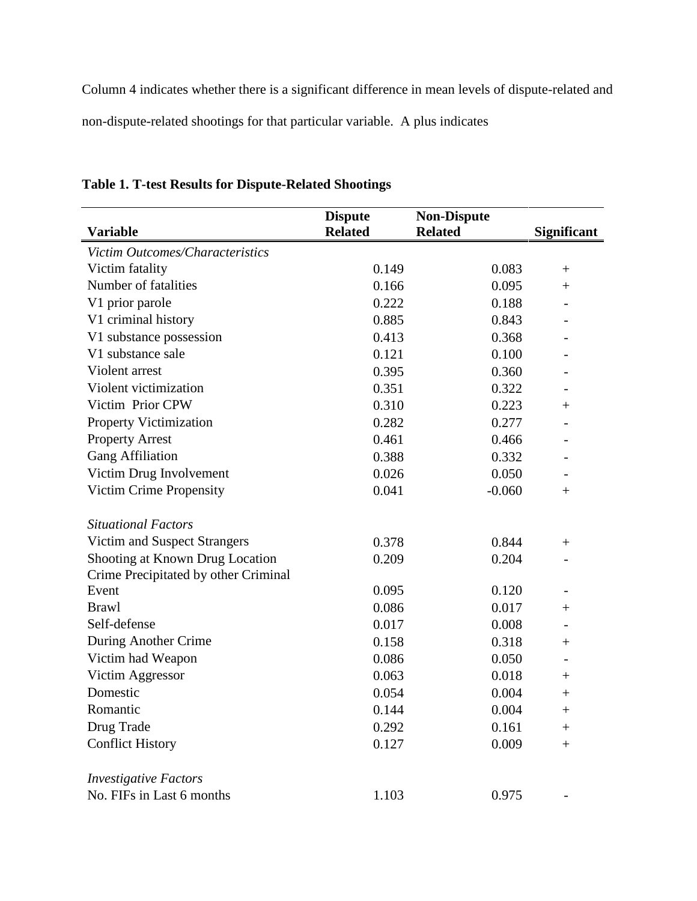Column 4 indicates whether there is a significant difference in mean levels of dispute-related and non-dispute-related shootings for that particular variable. A plus indicates

|                                      | <b>Dispute</b> | <b>Non-Dispute</b> |                    |
|--------------------------------------|----------------|--------------------|--------------------|
| <b>Variable</b>                      | <b>Related</b> | <b>Related</b>     | <b>Significant</b> |
| Victim Outcomes/Characteristics      |                |                    |                    |
| Victim fatality                      | 0.149          | 0.083              | $^{+}$             |
| Number of fatalities                 | 0.166          | 0.095              | $^{+}$             |
| V1 prior parole                      | 0.222          | 0.188              |                    |
| V1 criminal history                  | 0.885          | 0.843              |                    |
| V1 substance possession              | 0.413          | 0.368              |                    |
| V1 substance sale                    | 0.121          | 0.100              |                    |
| Violent arrest                       | 0.395          | 0.360              |                    |
| Violent victimization                | 0.351          | 0.322              |                    |
| Victim Prior CPW                     | 0.310          | 0.223              | $^{+}$             |
| <b>Property Victimization</b>        | 0.282          | 0.277              |                    |
| <b>Property Arrest</b>               | 0.461          | 0.466              |                    |
| <b>Gang Affiliation</b>              | 0.388          | 0.332              |                    |
| Victim Drug Involvement              | 0.026          | 0.050              |                    |
| Victim Crime Propensity              | 0.041          | $-0.060$           | $^{+}$             |
| <b>Situational Factors</b>           |                |                    |                    |
| Victim and Suspect Strangers         | 0.378          | 0.844              | $^{+}$             |
| Shooting at Known Drug Location      | 0.209          | 0.204              |                    |
| Crime Precipitated by other Criminal |                |                    |                    |
| Event                                | 0.095          | 0.120              |                    |
| <b>Brawl</b>                         | 0.086          | 0.017              | $\hspace{0.1mm} +$ |
| Self-defense                         | 0.017          | 0.008              |                    |
| During Another Crime                 | 0.158          | 0.318              | $\hspace{0.1mm} +$ |
| Victim had Weapon                    | 0.086          | 0.050              |                    |
| Victim Aggressor                     | 0.063          | 0.018              | $^+$               |
| Domestic                             | 0.054          | 0.004              | $^+$               |
| Romantic                             | 0.144          | 0.004              | $^{+}$             |
| Drug Trade                           | 0.292          | 0.161              | $^+$               |
| <b>Conflict History</b>              | 0.127          | 0.009              | $^{+}$             |
| <b>Investigative Factors</b>         |                |                    |                    |
| No. FIFs in Last 6 months            | 1.103          | 0.975              |                    |
|                                      |                |                    |                    |

# **Table 1. T-test Results for Dispute-Related Shootings**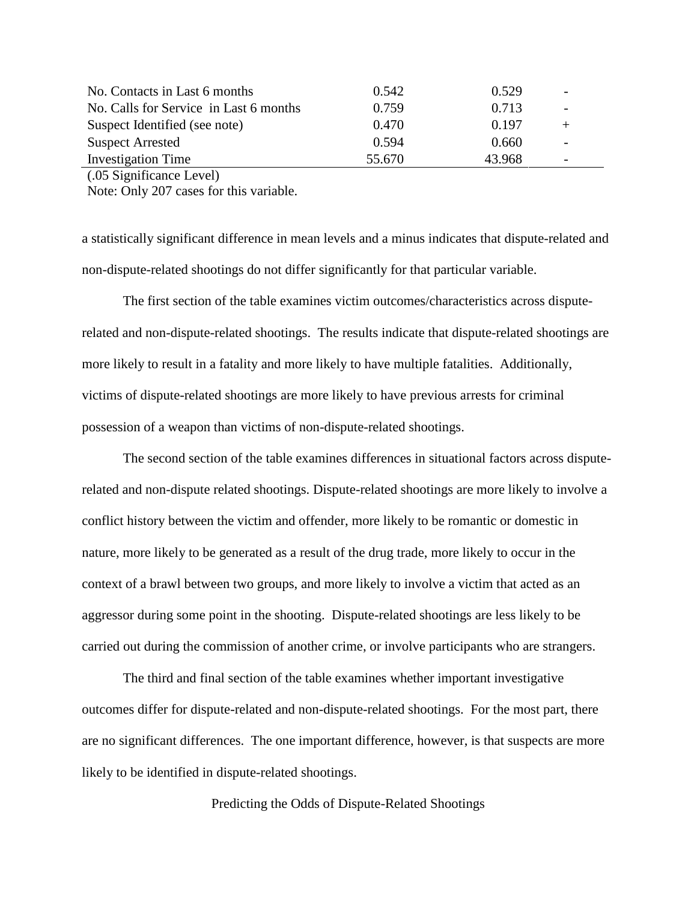| No. Contacts in Last 6 months          | 0.542  | 0.529  | $\overline{\phantom{a}}$ |  |
|----------------------------------------|--------|--------|--------------------------|--|
| No. Calls for Service in Last 6 months | 0.759  | 0.713  | $\overline{\phantom{a}}$ |  |
| Suspect Identified (see note)          | 0.470  | 0.197  | $+$                      |  |
| <b>Suspect Arrested</b>                | 0.594  | 0.660  |                          |  |
| <b>Investigation Time</b>              | 55.670 | 43.968 | $\overline{\phantom{a}}$ |  |
|                                        |        |        |                          |  |

(.05 Significance Level)

Note: Only 207 cases for this variable.

a statistically significant difference in mean levels and a minus indicates that dispute-related and non-dispute-related shootings do not differ significantly for that particular variable.

The first section of the table examines victim outcomes/characteristics across disputerelated and non-dispute-related shootings. The results indicate that dispute-related shootings are more likely to result in a fatality and more likely to have multiple fatalities. Additionally, victims of dispute-related shootings are more likely to have previous arrests for criminal possession of a weapon than victims of non-dispute-related shootings.

The second section of the table examines differences in situational factors across disputerelated and non-dispute related shootings. Dispute-related shootings are more likely to involve a conflict history between the victim and offender, more likely to be romantic or domestic in nature, more likely to be generated as a result of the drug trade, more likely to occur in the context of a brawl between two groups, and more likely to involve a victim that acted as an aggressor during some point in the shooting. Dispute-related shootings are less likely to be carried out during the commission of another crime, or involve participants who are strangers.

The third and final section of the table examines whether important investigative outcomes differ for dispute-related and non-dispute-related shootings. For the most part, there are no significant differences. The one important difference, however, is that suspects are more likely to be identified in dispute-related shootings.

Predicting the Odds of Dispute-Related Shootings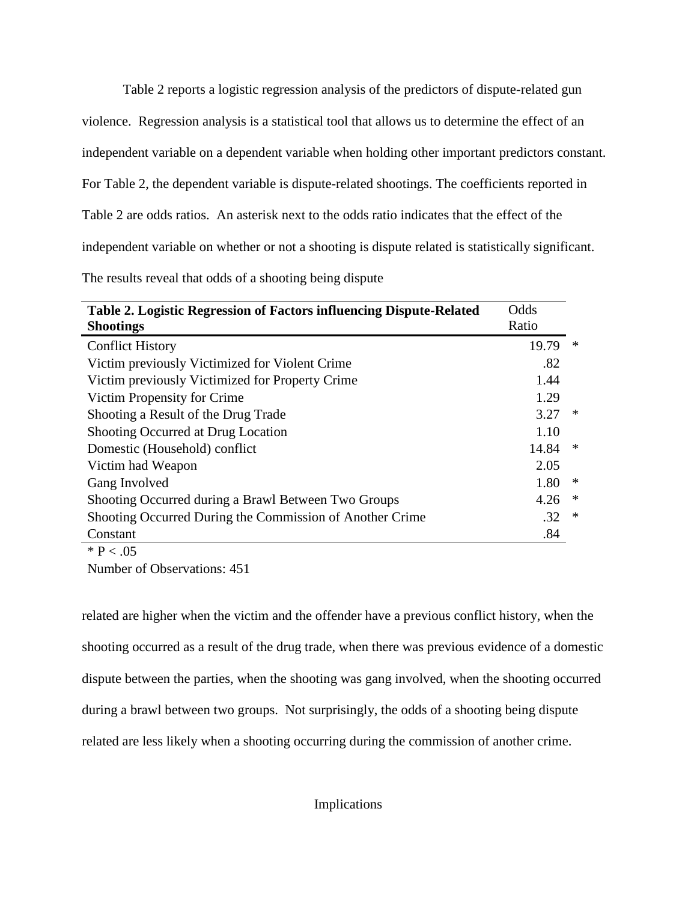Table 2 reports a logistic regression analysis of the predictors of dispute-related gun violence. Regression analysis is a statistical tool that allows us to determine the effect of an independent variable on a dependent variable when holding other important predictors constant. For Table 2, the dependent variable is dispute-related shootings. The coefficients reported in Table 2 are odds ratios. An asterisk next to the odds ratio indicates that the effect of the independent variable on whether or not a shooting is dispute related is statistically significant. The results reveal that odds of a shooting being dispute

| Table 2. Logistic Regression of Factors influencing Dispute-Related<br><b>Shootings</b> | Odds<br>Ratio |        |
|-----------------------------------------------------------------------------------------|---------------|--------|
| <b>Conflict History</b>                                                                 | 19.79         | ∗      |
| Victim previously Victimized for Violent Crime                                          | .82           |        |
| Victim previously Victimized for Property Crime                                         | 1.44          |        |
| Victim Propensity for Crime                                                             | 1.29          |        |
| Shooting a Result of the Drug Trade                                                     | 3.27          | ∗      |
| Shooting Occurred at Drug Location                                                      | 1.10          |        |
| Domestic (Household) conflict                                                           | 14.84         | ∗      |
| Victim had Weapon                                                                       | 2.05          |        |
| Gang Involved                                                                           | 1.80          | ∗      |
| Shooting Occurred during a Brawl Between Two Groups                                     | 4.26          | $\ast$ |
| Shooting Occurred During the Commission of Another Crime                                | .32           | $\ast$ |
| Constant                                                                                | .84           |        |
| $\cdots$ $\sim$ $\sim$                                                                  |               |        |

 $*$  P < .05

Number of Observations: 451

related are higher when the victim and the offender have a previous conflict history, when the shooting occurred as a result of the drug trade, when there was previous evidence of a domestic dispute between the parties, when the shooting was gang involved, when the shooting occurred during a brawl between two groups. Not surprisingly, the odds of a shooting being dispute related are less likely when a shooting occurring during the commission of another crime.